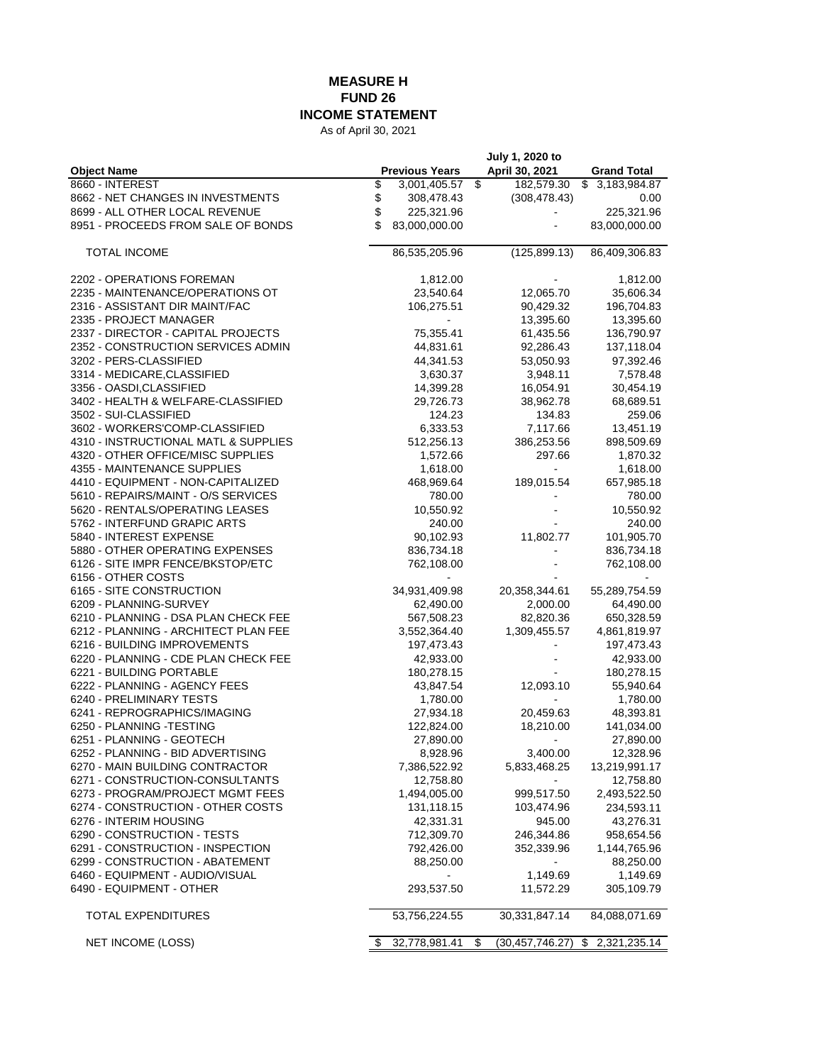## **MEASURE H FUND 26**

**INCOME STATEMENT**

As of April 30, 2021

|                                                         |                       | July 1, 2020 to         |                    |
|---------------------------------------------------------|-----------------------|-------------------------|--------------------|
| <b>Object Name</b>                                      | <b>Previous Years</b> | April 30, 2021          | <b>Grand Total</b> |
| 8660 - INTEREST                                         | \$<br>3,001,405.57    | \$<br>182,579.30        | \$3,183,984.87     |
| 8662 - NET CHANGES IN INVESTMENTS                       | \$<br>308,478.43      | (308, 478.43)           | 0.00               |
| 8699 - ALL OTHER LOCAL REVENUE                          | \$<br>225,321.96      |                         | 225,321.96         |
| 8951 - PROCEEDS FROM SALE OF BONDS                      | \$<br>83,000,000.00   |                         | 83,000,000.00      |
| <b>TOTAL INCOME</b>                                     | 86,535,205.96         | (125, 899.13)           | 86,409,306.83      |
| 2202 - OPERATIONS FOREMAN                               | 1,812.00              |                         | 1,812.00           |
| 2235 - MAINTENANCE/OPERATIONS OT                        | 23,540.64             | 12,065.70               | 35,606.34          |
| 2316 - ASSISTANT DIR MAINT/FAC                          | 106,275.51            | 90,429.32               | 196,704.83         |
| 2335 - PROJECT MANAGER                                  |                       | 13,395.60               | 13,395.60          |
| 2337 - DIRECTOR - CAPITAL PROJECTS                      | 75,355.41             | 61,435.56               | 136,790.97         |
| 2352 - CONSTRUCTION SERVICES ADMIN                      | 44,831.61             | 92,286.43               | 137,118.04         |
| 3202 - PERS-CLASSIFIED                                  | 44,341.53             | 53,050.93               | 97,392.46          |
| 3314 - MEDICARE, CLASSIFIED                             | 3,630.37              | 3,948.11                | 7,578.48           |
| 3356 - OASDI, CLASSIFIED                                | 14,399.28             | 16,054.91               | 30,454.19          |
| 3402 - HEALTH & WELFARE-CLASSIFIED                      | 29,726.73             | 38,962.78               | 68,689.51          |
| 3502 - SUI-CLASSIFIED                                   | 124.23                | 134.83                  | 259.06             |
| 3602 - WORKERS'COMP-CLASSIFIED                          | 6,333.53              | 7,117.66                | 13,451.19          |
| 4310 - INSTRUCTIONAL MATL & SUPPLIES                    | 512,256.13            | 386,253.56              | 898,509.69         |
| 4320 - OTHER OFFICE/MISC SUPPLIES                       | 1,572.66              | 297.66                  | 1,870.32           |
| 4355 - MAINTENANCE SUPPLIES                             | 1,618.00              |                         | 1,618.00           |
| 4410 - EQUIPMENT - NON-CAPITALIZED                      | 468,969.64            | 189,015.54              | 657,985.18         |
| 5610 - REPAIRS/MAINT - O/S SERVICES                     | 780.00                |                         | 780.00             |
| 5620 - RENTALS/OPERATING LEASES                         | 10,550.92             |                         | 10,550.92          |
| 5762 - INTERFUND GRAPIC ARTS                            | 240.00                |                         | 240.00             |
| 5840 - INTEREST EXPENSE                                 | 90,102.93             | 11,802.77               | 101,905.70         |
| 5880 - OTHER OPERATING EXPENSES                         | 836,734.18            |                         | 836,734.18         |
| 6126 - SITE IMPR FENCE/BKSTOP/ETC<br>6156 - OTHER COSTS | 762,108.00            |                         | 762,108.00         |
| 6165 - SITE CONSTRUCTION                                | 34,931,409.98         | 20,358,344.61           | 55,289,754.59      |
| 6209 - PLANNING-SURVEY                                  | 62,490.00             | 2,000.00                | 64,490.00          |
| 6210 - PLANNING - DSA PLAN CHECK FEE                    | 567,508.23            | 82,820.36               | 650,328.59         |
| 6212 - PLANNING - ARCHITECT PLAN FEE                    | 3,552,364.40          | 1,309,455.57            | 4,861,819.97       |
| 6216 - BUILDING IMPROVEMENTS                            | 197,473.43            |                         | 197,473.43         |
| 6220 - PLANNING - CDE PLAN CHECK FEE                    | 42,933.00             |                         | 42,933.00          |
| 6221 - BUILDING PORTABLE                                | 180,278.15            |                         | 180,278.15         |
| 6222 - PLANNING - AGENCY FEES                           | 43,847.54             | 12,093.10               | 55,940.64          |
| 6240 - PRELIMINARY TESTS                                | 1,780.00              |                         | 1,780.00           |
| 6241 - REPROGRAPHICS/IMAGING                            | 27,934.18             | 20,459.63               | 48,393.81          |
| 6250 - PLANNING - TESTING                               | 122,824.00            | 18,210.00               | 141,034.00         |
| 6251 - PLANNING - GEOTECH                               | 27,890.00             | $\blacksquare$          | 27,890.00          |
| 6252 - PLANNING - BID ADVERTISING                       | 8,928.96              | 3,400.00                | 12,328.96          |
| 6270 - MAIN BUILDING CONTRACTOR                         | 7,386,522.92          | 5,833,468.25            | 13,219,991.17      |
| 6271 - CONSTRUCTION-CONSULTANTS                         | 12,758.80             |                         | 12,758.80          |
| 6273 - PROGRAM/PROJECT MGMT FEES                        | 1,494,005.00          | 999,517.50              | 2,493,522.50       |
| 6274 - CONSTRUCTION - OTHER COSTS                       | 131,118.15            | 103,474.96              | 234,593.11         |
| 6276 - INTERIM HOUSING                                  | 42,331.31             | 945.00                  | 43,276.31          |
| 6290 - CONSTRUCTION - TESTS                             | 712,309.70            | 246,344.86              | 958,654.56         |
| 6291 CONSTRUCTION - INSPECTION                          | 792,426.00            | 352,339.96              | 1,144,765.96       |
| 6299 - CONSTRUCTION - ABATEMENT                         | 88,250.00             |                         | 88,250.00          |
| 6460 - EQUIPMENT - AUDIO/VISUAL                         |                       | 1,149.69                | 1,149.69           |
| 6490 - EQUIPMENT - OTHER                                | 293,537.50            | 11,572.29               | 305,109.79         |
| <b>TOTAL EXPENDITURES</b>                               | 53,756,224.55         | 30,331,847.14           | 84,088,071.69      |
| <b>NET INCOME (LOSS)</b>                                | \$<br>32,778,981.41   | \$<br>(30, 457, 746.27) | \$<br>2,321,235.14 |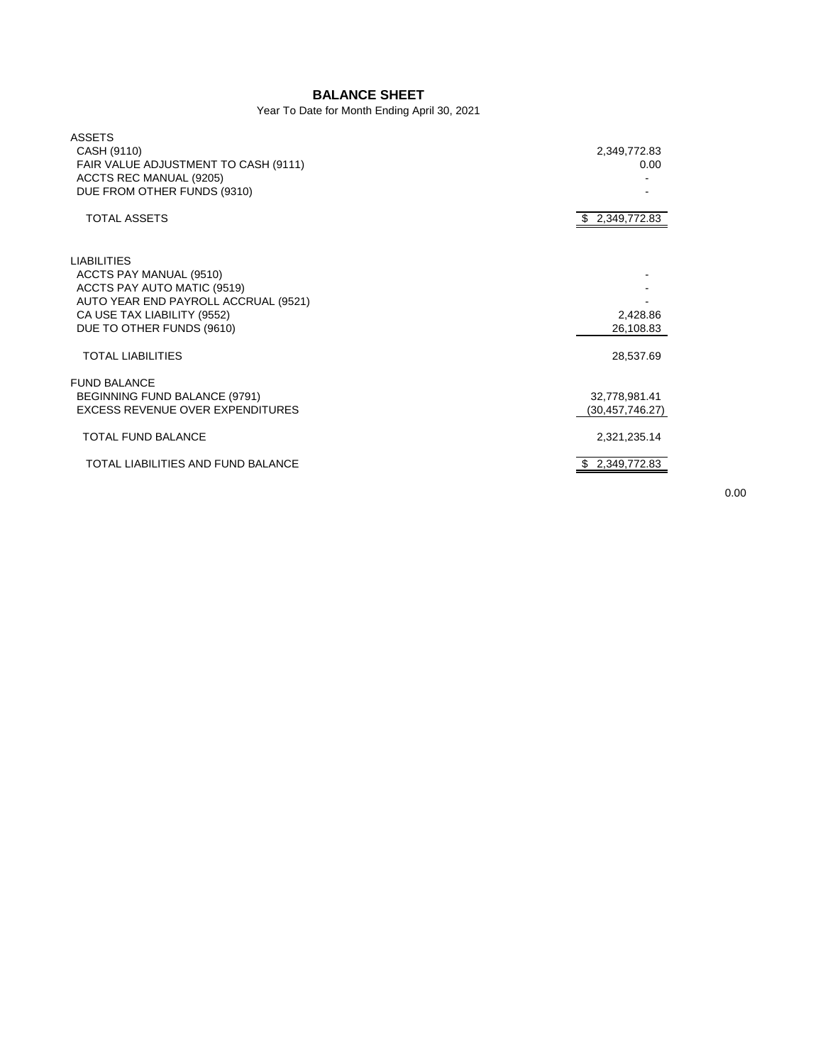## **BALANCE SHEET**

Year To Date for Month Ending April 30, 2021

| <b>ASSETS</b><br>CASH (9110)<br>FAIR VALUE ADJUSTMENT TO CASH (9111)<br>ACCTS REC MANUAL (9205)<br>DUE FROM OTHER FUNDS (9310)                                                   | 2,349,772.83<br>0.00               |
|----------------------------------------------------------------------------------------------------------------------------------------------------------------------------------|------------------------------------|
| <b>TOTAL ASSETS</b>                                                                                                                                                              | \$2,349,772.83                     |
| <b>LIABILITIES</b><br>ACCTS PAY MANUAL (9510)<br>ACCTS PAY AUTO MATIC (9519)<br>AUTO YEAR END PAYROLL ACCRUAL (9521)<br>CA USE TAX LIABILITY (9552)<br>DUE TO OTHER FUNDS (9610) | 2,428.86<br>26,108.83              |
| <b>TOTAL LIABILITIES</b>                                                                                                                                                         | 28,537.69                          |
| <b>FUND BALANCE</b><br>BEGINNING FUND BALANCE (9791)<br>EXCESS REVENUE OVER EXPENDITURES                                                                                         | 32,778,981.41<br>(30, 457, 746.27) |
| <b>TOTAL FUND BALANCE</b>                                                                                                                                                        | 2,321,235.14                       |
| TOTAL LIABILITIES AND FUND BALANCE                                                                                                                                               | 2,349,772.83                       |
|                                                                                                                                                                                  |                                    |

0.00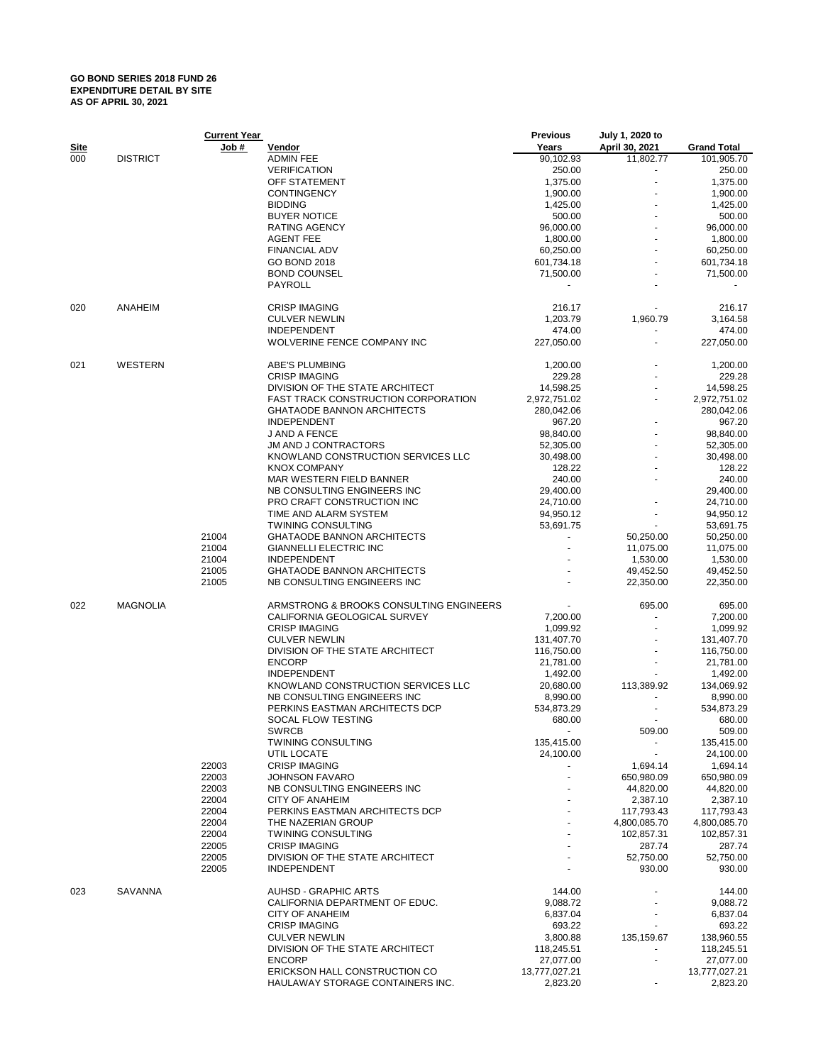## **GO BOND SERIES 2018 FUND 26 EXPENDITURE DETAIL BY SITE AS OF APRIL 30, 2021**

|             |                 | <b>Current Year</b> |                                                       | <b>Previous</b> | July 1, 2020 to     |                     |
|-------------|-----------------|---------------------|-------------------------------------------------------|-----------------|---------------------|---------------------|
| <u>Site</u> |                 | <u>Job #</u>        | <u>Vendor</u>                                         | Years           | April 30, 2021      | <b>Grand Total</b>  |
| 000         | <b>DISTRICT</b> |                     | <b>ADMIN FEE</b>                                      | 90,102.93       | 11,802.77           | 101,905.70          |
|             |                 |                     | <b>VERIFICATION</b>                                   | 250.00          |                     | 250.00              |
|             |                 |                     | OFF STATEMENT                                         | 1,375.00        |                     | 1,375.00            |
|             |                 |                     | <b>CONTINGENCY</b>                                    | 1,900.00        |                     | 1,900.00            |
|             |                 |                     | <b>BIDDING</b>                                        | 1,425.00        |                     | 1,425.00            |
|             |                 |                     | <b>BUYER NOTICE</b>                                   | 500.00          |                     | 500.00              |
|             |                 |                     | <b>RATING AGENCY</b>                                  | 96,000.00       |                     | 96,000.00           |
|             |                 |                     | <b>AGENT FEE</b>                                      | 1,800.00        |                     | 1,800.00            |
|             |                 |                     | <b>FINANCIAL ADV</b>                                  |                 |                     | 60,250.00           |
|             |                 |                     |                                                       | 60,250.00       |                     |                     |
|             |                 |                     | <b>GO BOND 2018</b>                                   | 601,734.18      |                     | 601,734.18          |
|             |                 |                     | <b>BOND COUNSEL</b><br>PAYROLL                        | 71,500.00       |                     | 71,500.00           |
| 020         | ANAHEIM         |                     | <b>CRISP IMAGING</b>                                  | 216.17          |                     | 216.17              |
|             |                 |                     | <b>CULVER NEWLIN</b>                                  |                 |                     |                     |
|             |                 |                     |                                                       | 1,203.79        | 1,960.79            | 3,164.58            |
|             |                 |                     | <b>INDEPENDENT</b>                                    | 474.00          |                     | 474.00              |
|             |                 |                     | WOLVERINE FENCE COMPANY INC                           | 227,050.00      |                     | 227,050.00          |
| 021         | WESTERN         |                     | ABE'S PLUMBING                                        | 1,200.00        |                     | 1,200.00            |
|             |                 |                     | <b>CRISP IMAGING</b>                                  | 229.28          |                     | 229.28              |
|             |                 |                     | DIVISION OF THE STATE ARCHITECT                       | 14,598.25       |                     | 14,598.25           |
|             |                 |                     | <b>FAST TRACK CONSTRUCTION CORPORATION</b>            | 2,972,751.02    |                     | 2,972,751.02        |
|             |                 |                     | <b>GHATAODE BANNON ARCHITECTS</b>                     | 280,042.06      |                     | 280,042.06          |
|             |                 |                     | <b>INDEPENDENT</b>                                    | 967.20          |                     | 967.20              |
|             |                 |                     | J AND A FENCE                                         | 98,840.00       |                     | 98,840.00           |
|             |                 |                     | <b>JM AND J CONTRACTORS</b>                           | 52,305.00       |                     | 52,305.00           |
|             |                 |                     | KNOWLAND CONSTRUCTION SERVICES LLC                    | 30,498.00       |                     | 30,498.00           |
|             |                 |                     | <b>KNOX COMPANY</b>                                   | 128.22          |                     | 128.22              |
|             |                 |                     |                                                       |                 |                     |                     |
|             |                 |                     | MAR WESTERN FIELD BANNER                              | 240.00          |                     | 240.00              |
|             |                 |                     | NB CONSULTING ENGINEERS INC                           | 29,400.00       |                     | 29,400.00           |
|             |                 |                     | PRO CRAFT CONSTRUCTION INC                            | 24,710.00       |                     | 24,710.00           |
|             |                 |                     | TIME AND ALARM SYSTEM                                 | 94,950.12       |                     | 94,950.12           |
|             |                 |                     | <b>TWINING CONSULTING</b>                             | 53,691.75       |                     | 53,691.75           |
|             |                 | 21004               | <b>GHATAODE BANNON ARCHITECTS</b>                     |                 | 50,250.00           | 50,250.00           |
|             |                 | 21004               | <b>GIANNELLI ELECTRIC INC</b>                         |                 | 11,075.00           | 11,075.00           |
|             |                 | 21004               | <b>INDEPENDENT</b>                                    |                 | 1,530.00            | 1,530.00            |
|             |                 | 21005               | <b>GHATAODE BANNON ARCHITECTS</b>                     |                 | 49,452.50           | 49,452.50           |
|             |                 | 21005               | NB CONSULTING ENGINEERS INC                           |                 | 22,350.00           | 22,350.00           |
| 022         | <b>MAGNOLIA</b> |                     | ARMSTRONG & BROOKS CONSULTING ENGINEERS               |                 | 695.00              | 695.00              |
|             |                 |                     | CALIFORNIA GEOLOGICAL SURVEY                          | 7,200.00        |                     | 7,200.00            |
|             |                 |                     | <b>CRISP IMAGING</b>                                  | 1,099.92        |                     | 1,099.92            |
|             |                 |                     | <b>CULVER NEWLIN</b>                                  | 131,407.70      |                     | 131,407.70          |
|             |                 |                     | DIVISION OF THE STATE ARCHITECT                       | 116,750.00      |                     | 116,750.00          |
|             |                 |                     | <b>ENCORP</b>                                         |                 |                     |                     |
|             |                 |                     |                                                       | 21,781.00       |                     | 21,781.00           |
|             |                 |                     | <b>INDEPENDENT</b>                                    | 1,492.00        |                     | 1,492.00            |
|             |                 |                     | KNOWLAND CONSTRUCTION SERVICES LLC                    | 20,680.00       | 113,389.92          | 134,069.92          |
|             |                 |                     | NB CONSULTING ENGINEERS INC                           | 8,990.00        |                     | 8,990.00            |
|             |                 |                     | PERKINS EASTMAN ARCHITECTS DCP                        | 534,873.29      |                     | 534,873.29          |
|             |                 |                     | SOCAL FLOW TESTING                                    | 680.00          |                     | 680.00              |
|             |                 |                     | <b>SWRCB</b>                                          |                 | 509.00              | 509.00              |
|             |                 |                     | <b>TWINING CONSULTING</b>                             | 135,415.00      | ٠                   | 135,415.00          |
|             |                 |                     | UTIL LOCATE                                           | 24,100.00       |                     | 24,100.00           |
|             |                 | 22003               | <b>CRISP IMAGING</b>                                  |                 | 1,694.14            | 1,694.14            |
|             |                 | 22003               | JOHNSON FAVARO                                        |                 | 650,980.09          | 650,980.09          |
|             |                 | 22003               | NB CONSULTING ENGINEERS INC                           |                 | 44,820.00           | 44,820.00           |
|             |                 | 22004               | <b>CITY OF ANAHEIM</b>                                |                 | 2.387.10            | 2,387.10            |
|             |                 | 22004               | PERKINS EASTMAN ARCHITECTS DCP                        |                 | 117,793.43          | 117,793.43          |
|             |                 | 22004               | THE NAZERIAN GROUP                                    |                 | 4,800,085.70        | 4,800,085.70        |
|             |                 | 22004               | <b>TWINING CONSULTING</b>                             |                 | 102,857.31          | 102,857.31          |
|             |                 | 22005               | <b>CRISP IMAGING</b>                                  |                 | 287.74              | 287.74              |
|             |                 |                     |                                                       |                 |                     |                     |
|             |                 | 22005<br>22005      | DIVISION OF THE STATE ARCHITECT<br><b>INDEPENDENT</b> |                 | 52,750.00<br>930.00 | 52,750.00<br>930.00 |
| 023         | SAVANNA         |                     | <b>AUHSD - GRAPHIC ARTS</b>                           | 144.00          |                     | 144.00              |
|             |                 |                     |                                                       |                 |                     |                     |
|             |                 |                     | CALIFORNIA DEPARTMENT OF EDUC.                        | 9,088.72        |                     | 9,088.72            |
|             |                 |                     | <b>CITY OF ANAHEIM</b>                                | 6,837.04        |                     | 6,837.04            |
|             |                 |                     | <b>CRISP IMAGING</b>                                  | 693.22          |                     | 693.22              |
|             |                 |                     | <b>CULVER NEWLIN</b>                                  | 3,800.88        | 135,159.67          | 138,960.55          |
|             |                 |                     | DIVISION OF THE STATE ARCHITECT                       | 118,245.51      | ٠                   | 118,245.51          |
|             |                 |                     | <b>ENCORP</b>                                         | 27,077.00       | ä,                  | 27,077.00           |
|             |                 |                     | ERICKSON HALL CONSTRUCTION CO                         | 13,777,027.21   |                     | 13,777,027.21       |
|             |                 |                     | HAULAWAY STORAGE CONTAINERS INC.                      | 2,823.20        |                     | 2,823.20            |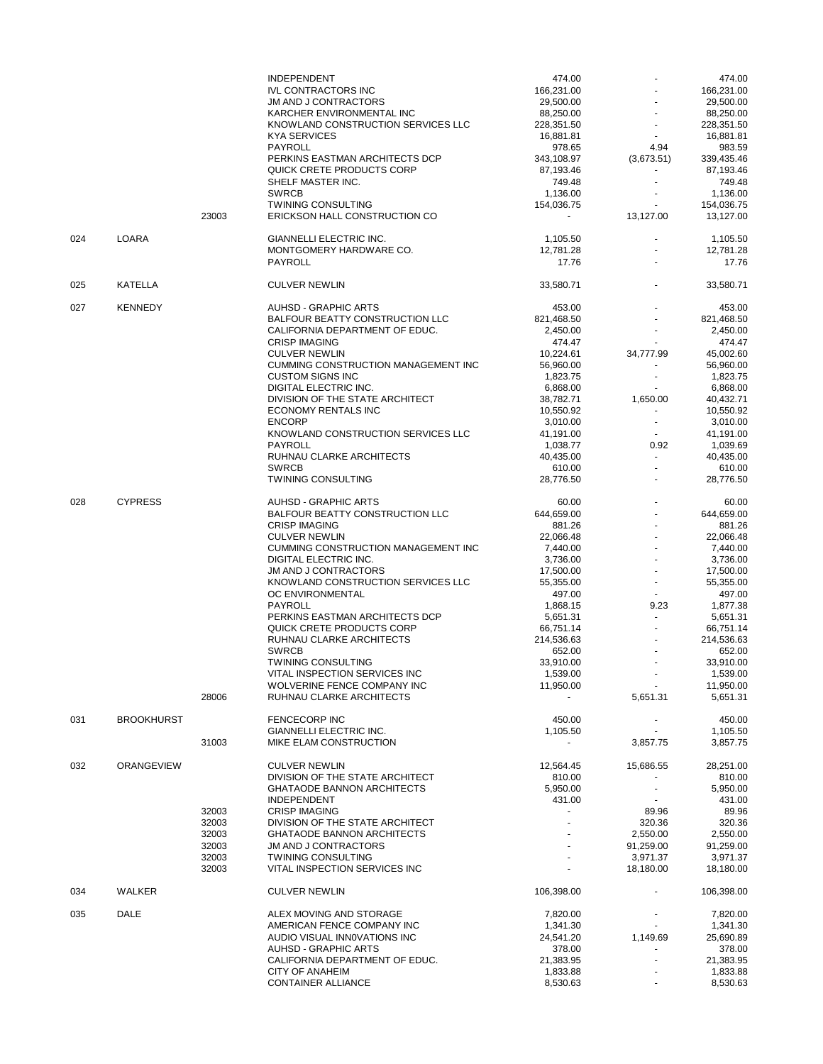|     |                   |                | <b>INDEPENDENT</b>                                                   | 474.00                  |                          | 474.00                  |
|-----|-------------------|----------------|----------------------------------------------------------------------|-------------------------|--------------------------|-------------------------|
|     |                   |                | <b>IVL CONTRACTORS INC</b>                                           | 166,231.00              |                          | 166,231.00              |
|     |                   |                | <b>JM AND J CONTRACTORS</b>                                          | 29,500.00               |                          | 29,500.00               |
|     |                   |                | KARCHER ENVIRONMENTAL INC                                            | 88,250.00               |                          | 88,250.00               |
|     |                   |                | KNOWLAND CONSTRUCTION SERVICES LLC<br><b>KYA SERVICES</b>            | 228,351.50<br>16,881.81 |                          | 228,351.50<br>16,881.81 |
|     |                   |                | <b>PAYROLL</b>                                                       | 978.65                  | 4.94                     | 983.59                  |
|     |                   |                | PERKINS EASTMAN ARCHITECTS DCP                                       | 343,108.97              | (3,673.51)               | 339,435.46              |
|     |                   |                | QUICK CRETE PRODUCTS CORP                                            | 87,193.46               | ÷                        | 87,193.46               |
|     |                   |                | SHELF MASTER INC.                                                    | 749.48                  |                          | 749.48                  |
|     |                   |                | <b>SWRCB</b>                                                         | 1,136.00                |                          | 1,136.00                |
|     |                   |                | <b>TWINING CONSULTING</b>                                            | 154,036.75              | $\blacksquare$           | 154,036.75              |
|     |                   | 23003          | ERICKSON HALL CONSTRUCTION CO                                        |                         | 13,127.00                | 13,127.00               |
| 024 | <b>LOARA</b>      |                | GIANNELLI ELECTRIC INC.                                              | 1,105.50                |                          | 1,105.50                |
|     |                   |                | MONTGOMERY HARDWARE CO.                                              | 12,781.28               |                          | 12,781.28               |
|     |                   |                | PAYROLL                                                              | 17.76                   |                          | 17.76                   |
| 025 | KATELLA           |                | <b>CULVER NEWLIN</b>                                                 | 33,580.71               |                          | 33,580.71               |
| 027 | <b>KENNEDY</b>    |                | <b>AUHSD - GRAPHIC ARTS</b>                                          | 453.00                  |                          | 453.00                  |
|     |                   |                | BALFOUR BEATTY CONSTRUCTION LLC                                      | 821,468.50              |                          | 821,468.50              |
|     |                   |                | CALIFORNIA DEPARTMENT OF EDUC.                                       | 2,450.00                |                          | 2,450.00                |
|     |                   |                | <b>CRISP IMAGING</b>                                                 | 474.47                  |                          | 474.47                  |
|     |                   |                | <b>CULVER NEWLIN</b>                                                 | 10,224.61               | 34,777.99                | 45,002.60               |
|     |                   |                | <b>CUMMING CONSTRUCTION MANAGEMENT INC</b>                           | 56,960.00               |                          | 56,960.00               |
|     |                   |                | <b>CUSTOM SIGNS INC</b><br><b>DIGITAL ELECTRIC INC.</b>              | 1,823.75                |                          | 1,823.75                |
|     |                   |                | DIVISION OF THE STATE ARCHITECT                                      | 6,868.00<br>38,782.71   | 1,650.00                 | 6,868.00<br>40,432.71   |
|     |                   |                | ECONOMY RENTALS INC                                                  | 10,550.92               | $\frac{1}{2}$            | 10,550.92               |
|     |                   |                | <b>ENCORP</b>                                                        | 3,010.00                | $\blacksquare$           | 3,010.00                |
|     |                   |                | KNOWLAND CONSTRUCTION SERVICES LLC                                   | 41,191.00               |                          | 41,191.00               |
|     |                   |                | <b>PAYROLL</b>                                                       | 1,038.77                | 0.92                     | 1,039.69                |
|     |                   |                | RUHNAU CLARKE ARCHITECTS                                             | 40,435.00               | $\overline{a}$           | 40,435.00               |
|     |                   |                | <b>SWRCB</b>                                                         | 610.00                  |                          | 610.00                  |
|     |                   |                | <b>TWINING CONSULTING</b>                                            | 28,776.50               |                          | 28,776.50               |
| 028 | <b>CYPRESS</b>    |                | <b>AUHSD - GRAPHIC ARTS</b>                                          | 60.00                   |                          | 60.00                   |
|     |                   |                | BALFOUR BEATTY CONSTRUCTION LLC                                      | 644,659.00              |                          | 644,659.00              |
|     |                   |                | <b>CRISP IMAGING</b>                                                 | 881.26                  |                          | 881.26                  |
|     |                   |                | <b>CULVER NEWLIN</b>                                                 | 22,066.48               |                          | 22,066.48               |
|     |                   |                | CUMMING CONSTRUCTION MANAGEMENT INC                                  | 7,440.00                |                          | 7,440.00                |
|     |                   |                | DIGITAL ELECTRIC INC.                                                | 3,736.00                |                          | 3,736.00                |
|     |                   |                | <b>JM AND J CONTRACTORS</b><br>KNOWLAND CONSTRUCTION SERVICES LLC    | 17,500.00               | $\overline{a}$           | 17,500.00               |
|     |                   |                | OC ENVIRONMENTAL                                                     | 55,355.00<br>497.00     |                          | 55,355.00<br>497.00     |
|     |                   |                | PAYROLL                                                              | 1,868.15                | 9.23                     | 1,877.38                |
|     |                   |                | PERKINS EASTMAN ARCHITECTS DCP                                       | 5,651.31                |                          | 5,651.31                |
|     |                   |                | QUICK CRETE PRODUCTS CORP                                            | 66,751.14               |                          | 66,751.14               |
|     |                   |                | RUHNAU CLARKE ARCHITECTS                                             | 214,536.63              | ä,                       | 214,536.63              |
|     |                   |                | <b>SWRCB</b>                                                         | 652.00                  |                          | 652.00                  |
|     |                   |                | <b>TWINING CONSULTING</b>                                            | 33,910.00               |                          | 33.910.00               |
|     |                   |                | VITAL INSPECTION SERVICES INC                                        | 1,539.00                |                          | 1,539.00                |
|     |                   |                | WOLVERINE FENCE COMPANY INC                                          | 11,950.00               |                          | 11,950.00               |
|     |                   | 28006          | RUHNAU CLARKE ARCHITECTS                                             | $\blacksquare$          | 5,651.31                 | 5,651.31                |
| 031 | <b>BROOKHURST</b> |                | <b>FENCECORP INC</b>                                                 | 450.00                  | $\overline{\phantom{a}}$ | 450.00                  |
|     |                   |                | GIANNELLI ELECTRIC INC.                                              | 1,105.50                |                          | 1,105.50                |
|     |                   | 31003          | MIKE ELAM CONSTRUCTION                                               | $\blacksquare$          | 3,857.75                 | 3,857.75                |
| 032 | ORANGEVIEW        |                | <b>CULVER NEWLIN</b>                                                 | 12,564.45               | 15,686.55                | 28,251.00               |
|     |                   |                | DIVISION OF THE STATE ARCHITECT                                      | 810.00                  |                          | 810.00                  |
|     |                   |                | <b>GHATAODE BANNON ARCHITECTS</b>                                    | 5,950.00                |                          | 5,950.00                |
|     |                   |                | <b>INDEPENDENT</b>                                                   | 431.00                  |                          | 431.00                  |
|     |                   | 32003          | <b>CRISP IMAGING</b>                                                 |                         | 89.96                    | 89.96                   |
|     |                   | 32003          | DIVISION OF THE STATE ARCHITECT<br><b>GHATAODE BANNON ARCHITECTS</b> |                         | 320.36                   | 320.36                  |
|     |                   | 32003<br>32003 | JM AND J CONTRACTORS                                                 |                         | 2,550.00<br>91,259.00    | 2,550.00<br>91,259.00   |
|     |                   | 32003          | <b>TWINING CONSULTING</b>                                            |                         | 3,971.37                 | 3,971.37                |
|     |                   | 32003          | VITAL INSPECTION SERVICES INC                                        |                         | 18,180.00                | 18,180.00               |
| 034 | WALKER            |                | <b>CULVER NEWLIN</b>                                                 | 106,398.00              | $\overline{\phantom{a}}$ | 106,398.00              |
| 035 | DALE              |                | ALEX MOVING AND STORAGE                                              | 7,820.00                |                          | 7,820.00                |
|     |                   |                | AMERICAN FENCE COMPANY INC                                           | 1,341.30                |                          | 1,341.30                |
|     |                   |                | AUDIO VISUAL INNOVATIONS INC                                         | 24,541.20               | 1,149.69                 | 25,690.89               |
|     |                   |                | <b>AUHSD - GRAPHIC ARTS</b>                                          | 378.00                  |                          | 378.00                  |
|     |                   |                | CALIFORNIA DEPARTMENT OF EDUC.                                       | 21,383.95               |                          | 21,383.95               |
|     |                   |                | CITY OF ANAHEIM                                                      | 1,833.88                |                          | 1,833.88                |
|     |                   |                | <b>CONTAINER ALLIANCE</b>                                            | 8,530.63                |                          | 8,530.63                |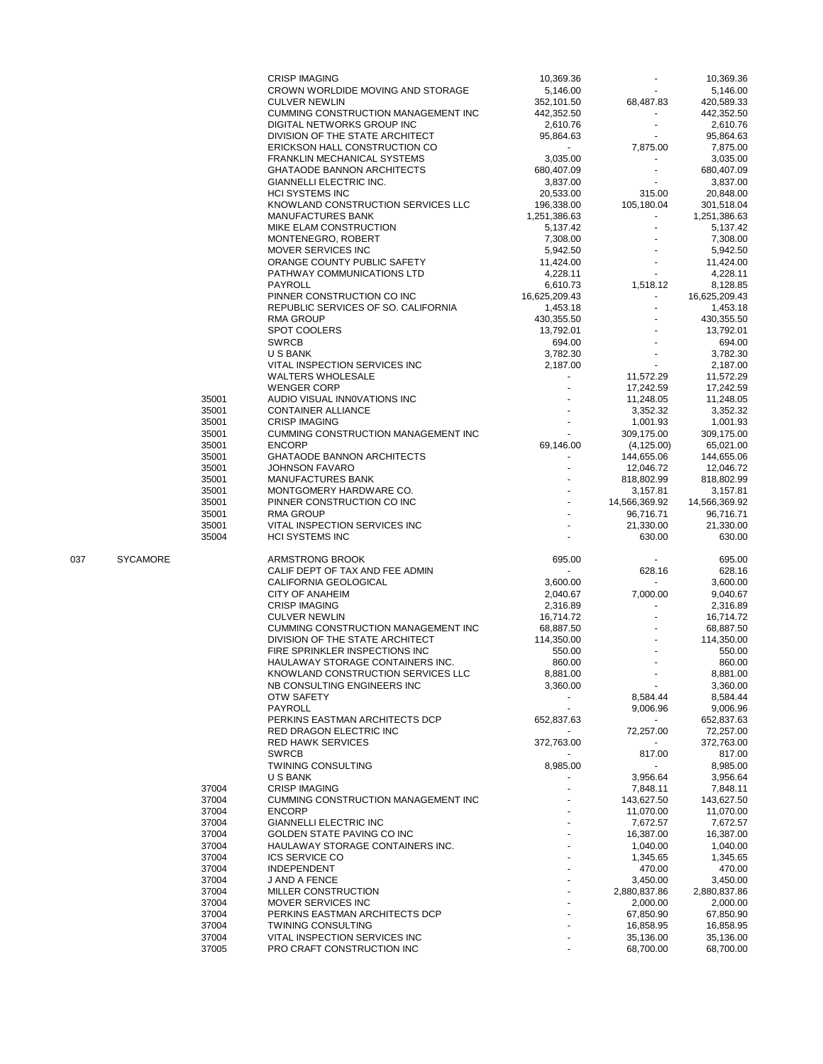|     |                 |                | <b>CRISP IMAGING</b>                                        |                |                        | 10,369.36              |
|-----|-----------------|----------------|-------------------------------------------------------------|----------------|------------------------|------------------------|
|     |                 |                |                                                             | 10,369.36      |                        |                        |
|     |                 |                | CROWN WORLDIDE MOVING AND STORAGE                           | 5,146.00       |                        | 5,146.00               |
|     |                 |                |                                                             |                |                        |                        |
|     |                 |                | <b>CULVER NEWLIN</b>                                        | 352,101.50     | 68,487.83              | 420,589.33             |
|     |                 |                | CUMMING CONSTRUCTION MANAGEMENT INC                         | 442,352.50     |                        | 442,352.50             |
|     |                 |                | DIGITAL NETWORKS GROUP INC                                  |                |                        |                        |
|     |                 |                |                                                             | 2,610.76       |                        | 2,610.76               |
|     |                 |                | DIVISION OF THE STATE ARCHITECT                             | 95,864.63      |                        | 95,864.63              |
|     |                 |                | ERICKSON HALL CONSTRUCTION CO                               | $\sim$         | 7,875.00               | 7,875.00               |
|     |                 |                |                                                             |                |                        |                        |
|     |                 |                | FRANKLIN MECHANICAL SYSTEMS                                 | 3,035.00       |                        | 3,035.00               |
|     |                 |                | <b>GHATAODE BANNON ARCHITECTS</b>                           | 680,407.09     |                        | 680,407.09             |
|     |                 |                |                                                             |                |                        |                        |
|     |                 |                | GIANNELLI ELECTRIC INC.                                     | 3,837.00       |                        | 3,837.00               |
|     |                 |                | <b>HCI SYSTEMS INC</b>                                      | 20,533.00      | 315.00                 | 20,848.00              |
|     |                 |                | KNOWLAND CONSTRUCTION SERVICES LLC                          | 196,338.00     | 105,180.04             | 301,518.04             |
|     |                 |                |                                                             |                |                        |                        |
|     |                 |                | <b>MANUFACTURES BANK</b>                                    | 1,251,386.63   | $\sim$                 | 1,251,386.63           |
|     |                 |                | MIKE ELAM CONSTRUCTION                                      | 5,137.42       |                        | 5,137.42               |
|     |                 |                |                                                             |                |                        |                        |
|     |                 |                | MONTENEGRO, ROBERT                                          | 7,308.00       |                        | 7,308.00               |
|     |                 |                | MOVER SERVICES INC                                          | 5,942.50       |                        | 5,942.50               |
|     |                 |                |                                                             |                |                        |                        |
|     |                 |                | ORANGE COUNTY PUBLIC SAFETY                                 | 11,424.00      |                        | 11,424.00              |
|     |                 |                | PATHWAY COMMUNICATIONS LTD                                  | 4,228.11       |                        | 4,228.11               |
|     |                 |                | <b>PAYROLL</b>                                              | 6,610.73       | 1,518.12               | 8,128.85               |
|     |                 |                |                                                             |                |                        |                        |
|     |                 |                | PINNER CONSTRUCTION CO INC                                  | 16,625,209.43  |                        | 16,625,209.43          |
|     |                 |                | REPUBLIC SERVICES OF SO. CALIFORNIA                         | 1,453.18       |                        | 1,453.18               |
|     |                 |                |                                                             |                |                        |                        |
|     |                 |                | <b>RMA GROUP</b>                                            | 430,355.50     |                        | 430,355.50             |
|     |                 |                | <b>SPOT COOLERS</b>                                         | 13,792.01      |                        | 13,792.01              |
|     |                 |                |                                                             |                |                        |                        |
|     |                 |                | <b>SWRCB</b>                                                | 694.00         |                        | 694.00                 |
|     |                 |                | U S BANK                                                    | 3,782.30       |                        | 3,782.30               |
|     |                 |                | VITAL INSPECTION SERVICES INC                               | 2.187.00       | $\mathbf{r}$           | 2,187.00               |
|     |                 |                |                                                             |                |                        |                        |
|     |                 |                | <b>WALTERS WHOLESALE</b>                                    |                | 11,572.29              | 11,572.29              |
|     |                 |                | <b>WENGER CORP</b>                                          |                | 17,242.59              | 17,242.59              |
|     |                 |                |                                                             |                |                        |                        |
|     |                 | 35001          | AUDIO VISUAL INNOVATIONS INC                                |                | 11,248.05              | 11,248.05              |
|     |                 | 35001          | <b>CONTAINER ALLIANCE</b>                                   |                | 3,352.32               | 3,352.32               |
|     |                 |                |                                                             |                |                        |                        |
|     |                 | 35001          | <b>CRISP IMAGING</b>                                        |                | 1,001.93               | 1,001.93               |
|     |                 | 35001          | CUMMING CONSTRUCTION MANAGEMENT INC                         |                | 309,175.00             | 309.175.00             |
|     |                 | 35001          | <b>ENCORP</b>                                               | 69,146.00      |                        |                        |
|     |                 |                |                                                             |                | (4, 125.00)            | 65,021.00              |
|     |                 | 35001          | <b>GHATAODE BANNON ARCHITECTS</b>                           |                | 144,655.06             | 144,655.06             |
|     |                 | 35001          | <b>JOHNSON FAVARO</b>                                       |                | 12,046.72              | 12,046.72              |
|     |                 |                |                                                             |                |                        |                        |
|     |                 | 35001          | MANUFACTURES BANK                                           |                | 818,802.99             | 818,802.99             |
|     |                 | 35001          | MONTGOMERY HARDWARE CO.                                     |                | 3,157.81               | 3,157.81               |
|     |                 |                |                                                             |                |                        |                        |
|     |                 | 35001          | PINNER CONSTRUCTION CO INC                                  | $\blacksquare$ | 14,566,369.92          | 14,566,369.92          |
|     |                 | 35001          | <b>RMA GROUP</b>                                            |                | 96,716.71              | 96,716.71              |
|     |                 |                |                                                             |                |                        |                        |
|     |                 | 35001          | VITAL INSPECTION SERVICES INC                               |                | 21,330.00              | 21,330.00              |
|     |                 | 35004          | <b>HCI SYSTEMS INC</b>                                      |                | 630.00                 | 630.00                 |
|     |                 |                |                                                             |                |                        |                        |
|     |                 |                |                                                             |                |                        |                        |
|     |                 |                |                                                             |                |                        |                        |
| 037 | <b>SYCAMORE</b> |                | ARMSTRONG BROOK                                             | 695.00         |                        | 695.00                 |
|     |                 |                |                                                             |                |                        |                        |
|     |                 |                | CALIF DEPT OF TAX AND FEE ADMIN                             | $\blacksquare$ | 628.16                 | 628.16                 |
|     |                 |                | CALIFORNIA GEOLOGICAL                                       | 3,600.00       | $\sim$                 | 3,600.00               |
|     |                 |                |                                                             |                |                        |                        |
|     |                 |                | <b>CITY OF ANAHEIM</b>                                      | 2,040.67       | 7,000.00               | 9,040.67               |
|     |                 |                | <b>CRISP IMAGING</b>                                        | 2,316.89       |                        | 2,316.89               |
|     |                 |                |                                                             |                |                        |                        |
|     |                 |                | <b>CULVER NEWLIN</b>                                        | 16,714.72      |                        | 16,714.72              |
|     |                 |                | CUMMING CONSTRUCTION MANAGEMENT INC                         | 68,887.50      |                        | 68,887.50              |
|     |                 |                | DIVISION OF THE STATE ARCHITECT                             | 114,350.00     |                        | 114,350.00             |
|     |                 |                |                                                             |                |                        |                        |
|     |                 |                | FIRE SPRINKLER INSPECTIONS INC                              | 550.00         |                        | 550.00                 |
|     |                 |                | HAULAWAY STORAGE CONTAINERS INC.                            | 860.00         |                        | 860.00                 |
|     |                 |                |                                                             |                |                        |                        |
|     |                 |                | KNOWLAND CONSTRUCTION SERVICES LLC                          | 8,881.00       |                        | 8,881.00               |
|     |                 |                | NB CONSULTING ENGINEERS INC                                 | 3,360.00       |                        | 3,360.00               |
|     |                 |                |                                                             |                |                        |                        |
|     |                 |                | OTW SAFETY                                                  |                | 8,584.44               | 8,584.44               |
|     |                 |                | PAYROLL                                                     |                | 9,006.96               | 9,006.96               |
|     |                 |                | PERKINS EASTMAN ARCHITECTS DCP                              | 652,837.63     | $\sim$                 | 652,837.63             |
|     |                 |                |                                                             |                |                        |                        |
|     |                 |                | RED DRAGON ELECTRIC INC                                     |                | 72,257.00              | 72,257.00              |
|     |                 |                | <b>RED HAWK SERVICES</b>                                    | 372,763.00     |                        | 372,763.00             |
|     |                 |                |                                                             |                |                        |                        |
|     |                 |                | <b>SWRCB</b>                                                |                | 817.00                 | 817.00                 |
|     |                 |                | <b>TWINING CONSULTING</b>                                   | 8,985.00       |                        | 8,985.00               |
|     |                 |                | U S BANK                                                    |                |                        |                        |
|     |                 |                |                                                             |                | 3,956.64               | 3,956.64               |
|     |                 | 37004          | <b>CRISP IMAGING</b>                                        |                | 7,848.11               | 7,848.11               |
|     |                 | 37004          | CUMMING CONSTRUCTION MANAGEMENT INC                         |                | 143,627.50             | 143,627.50             |
|     |                 |                |                                                             |                |                        |                        |
|     |                 | 37004          | <b>ENCORP</b>                                               |                | 11,070.00              | 11,070.00              |
|     |                 | 37004          | <b>GIANNELLI ELECTRIC INC</b>                               |                | 7,672.57               | 7,672.57               |
|     |                 |                |                                                             |                |                        |                        |
|     |                 | 37004          | <b>GOLDEN STATE PAVING CO INC</b>                           |                | 16,387.00              | 16,387.00              |
|     |                 | 37004          | HAULAWAY STORAGE CONTAINERS INC.                            |                | 1,040.00               | 1,040.00               |
|     |                 |                |                                                             |                |                        |                        |
|     |                 | 37004          | <b>ICS SERVICE CO</b>                                       |                | 1,345.65               | 1,345.65               |
|     |                 | 37004          | <b>INDEPENDENT</b>                                          |                | 470.00                 | 470.00                 |
|     |                 | 37004          | J AND A FENCE                                               |                | 3,450.00               | 3,450.00               |
|     |                 |                |                                                             |                |                        |                        |
|     |                 | 37004          | MILLER CONSTRUCTION                                         |                | 2,880,837.86           | 2,880,837.86           |
|     |                 | 37004          | MOVER SERVICES INC                                          |                | 2,000.00               | 2,000.00               |
|     |                 |                |                                                             |                |                        |                        |
|     |                 | 37004          | PERKINS EASTMAN ARCHITECTS DCP                              |                | 67,850.90              | 67,850.90              |
|     |                 | 37004          | <b>TWINING CONSULTING</b>                                   |                | 16,858.95              | 16,858.95              |
|     |                 |                |                                                             |                |                        |                        |
|     |                 | 37004<br>37005 | VITAL INSPECTION SERVICES INC<br>PRO CRAFT CONSTRUCTION INC |                | 35,136.00<br>68,700.00 | 35,136.00<br>68,700.00 |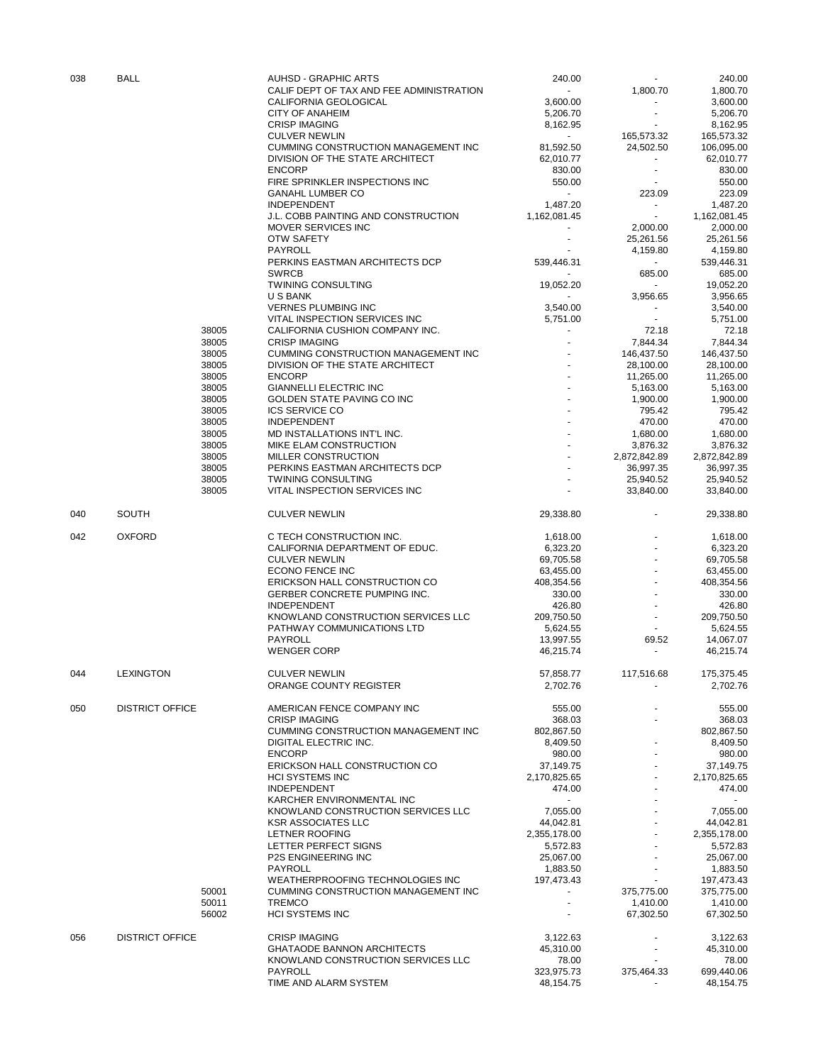| 038 | <b>BALL</b>            |                | <b>AUHSD - GRAPHIC ARTS</b>                                        | 240.00                 |                          | 240.00                   |
|-----|------------------------|----------------|--------------------------------------------------------------------|------------------------|--------------------------|--------------------------|
|     |                        |                | CALIF DEPT OF TAX AND FEE ADMINISTRATION                           | $\sim$                 | 1,800.70                 | 1,800.70                 |
|     |                        |                | CALIFORNIA GEOLOGICAL                                              | 3,600.00               |                          | 3,600.00                 |
|     |                        |                | <b>CITY OF ANAHEIM</b>                                             | 5,206.70               |                          | 5,206.70                 |
|     |                        |                | <b>CRISP IMAGING</b>                                               | 8,162.95               |                          | 8,162.95                 |
|     |                        |                | <b>CULVER NEWLIN</b><br><b>CUMMING CONSTRUCTION MANAGEMENT INC</b> | $\sim$                 | 165,573.32               | 165,573.32               |
|     |                        |                | DIVISION OF THE STATE ARCHITECT                                    | 81,592.50<br>62,010.77 | 24,502.50                | 106,095.00<br>62,010.77  |
|     |                        |                | <b>ENCORP</b>                                                      | 830.00                 |                          | 830.00                   |
|     |                        |                | FIRE SPRINKLER INSPECTIONS INC                                     | 550.00                 |                          | 550.00                   |
|     |                        |                | <b>GANAHL LUMBER CO</b>                                            | $\sim$                 | 223.09                   | 223.09                   |
|     |                        |                | <b>INDEPENDENT</b>                                                 | 1,487.20               | $\blacksquare$           | 1,487.20                 |
|     |                        |                | J.L. COBB PAINTING AND CONSTRUCTION                                | 1,162,081.45           | $\sim$                   | 1,162,081.45             |
|     |                        |                | MOVER SERVICES INC                                                 |                        | 2,000.00                 | 2,000.00                 |
|     |                        |                | <b>OTW SAFETY</b>                                                  |                        | 25,261.56                | 25,261.56                |
|     |                        |                | PAYROLL                                                            |                        | 4,159.80                 | 4,159.80                 |
|     |                        |                | PERKINS EASTMAN ARCHITECTS DCP                                     | 539,446.31             | $\blacksquare$           | 539.446.31               |
|     |                        |                | <b>SWRCB</b>                                                       |                        | 685.00                   | 685.00                   |
|     |                        |                | <b>TWINING CONSULTING</b>                                          | 19,052.20              | $\blacksquare$           | 19,052.20                |
|     |                        |                | U S BANK                                                           | $\sim$                 | 3,956.65                 | 3,956.65                 |
|     |                        |                | <b>VERNES PLUMBING INC</b>                                         | 3,540.00               |                          | 3,540.00                 |
|     |                        |                | VITAL INSPECTION SERVICES INC                                      | 5,751.00               | $\overline{\phantom{a}}$ | 5,751.00                 |
|     |                        | 38005          | CALIFORNIA CUSHION COMPANY INC.                                    | $\blacksquare$         | 72.18                    | 72.18                    |
|     |                        | 38005          | <b>CRISP IMAGING</b>                                               |                        | 7,844.34                 | 7,844.34                 |
|     |                        | 38005          | CUMMING CONSTRUCTION MANAGEMENT INC                                |                        | 146,437.50               | 146,437.50               |
|     |                        | 38005          | DIVISION OF THE STATE ARCHITECT                                    |                        | 28,100.00                | 28,100.00                |
|     |                        | 38005          | <b>ENCORP</b>                                                      |                        | 11,265.00                | 11,265.00                |
|     |                        | 38005          | <b>GIANNELLI ELECTRIC INC</b>                                      |                        | 5,163.00                 | 5,163.00                 |
|     |                        | 38005          | GOLDEN STATE PAVING CO INC                                         |                        | 1,900.00                 | 1,900.00                 |
|     |                        | 38005          | <b>ICS SERVICE CO</b><br><b>INDEPENDENT</b>                        |                        | 795.42                   | 795.42                   |
|     |                        | 38005<br>38005 | MD INSTALLATIONS INT'L INC.                                        |                        | 470.00                   | 470.00                   |
|     |                        | 38005          | MIKE ELAM CONSTRUCTION                                             |                        | 1,680.00<br>3,876.32     | 1,680.00<br>3,876.32     |
|     |                        | 38005          | MILLER CONSTRUCTION                                                |                        | 2,872,842.89             | 2,872,842.89             |
|     |                        | 38005          | PERKINS EASTMAN ARCHITECTS DCP                                     |                        | 36,997.35                | 36,997.35                |
|     |                        | 38005          | <b>TWINING CONSULTING</b>                                          |                        | 25,940.52                | 25,940.52                |
|     |                        | 38005          | VITAL INSPECTION SERVICES INC                                      |                        | 33,840.00                | 33,840.00                |
|     |                        |                |                                                                    |                        |                          |                          |
| 040 | <b>SOUTH</b>           |                | <b>CULVER NEWLIN</b>                                               | 29,338.80              |                          | 29,338.80                |
| 042 | <b>OXFORD</b>          |                | C TECH CONSTRUCTION INC.                                           | 1,618.00               |                          | 1,618.00                 |
|     |                        |                | CALIFORNIA DEPARTMENT OF EDUC.                                     | 6,323.20               |                          | 6,323.20                 |
|     |                        |                | <b>CULVER NEWLIN</b>                                               | 69,705.58              |                          | 69,705.58                |
|     |                        |                | ECONO FENCE INC                                                    | 63,455.00              |                          | 63,455.00                |
|     |                        |                | ERICKSON HALL CONSTRUCTION CO                                      | 408,354.56             |                          | 408,354.56               |
|     |                        |                | GERBER CONCRETE PUMPING INC.                                       | 330.00                 |                          | 330.00                   |
|     |                        |                | <b>INDEPENDENT</b>                                                 | 426.80                 |                          | 426.80                   |
|     |                        |                | KNOWLAND CONSTRUCTION SERVICES LLC                                 | 209,750.50             |                          | 209,750.50               |
|     |                        |                | PATHWAY COMMUNICATIONS LTD                                         | 5,624.55               |                          | 5,624.55                 |
|     |                        |                | PAYROLL                                                            | 13,997.55              | 69.52                    | 14,067.07                |
|     |                        |                | <b>WENGER CORP</b>                                                 | 46,215.74              |                          | 46,215.74                |
|     | <b>LEXINGTON</b>       |                |                                                                    |                        |                          |                          |
| 044 |                        |                | <b>CULVER NEWLIN</b><br>ORANGE COUNTY REGISTER                     | 57,858.77<br>2,702.76  | 117,516.68               | 175,375.45<br>2,702.76   |
|     |                        |                |                                                                    |                        |                          |                          |
| 050 | <b>DISTRICT OFFICE</b> |                | AMERICAN FENCE COMPANY INC                                         | 555.00                 |                          | 555.00                   |
|     |                        |                | <b>CRISP IMAGING</b>                                               | 368.03                 |                          | 368.03                   |
|     |                        |                | CUMMING CONSTRUCTION MANAGEMENT INC                                | 802,867.50             |                          | 802,867.50               |
|     |                        |                | <b>DIGITAL ELECTRIC INC.</b>                                       | 8,409.50               |                          | 8,409.50                 |
|     |                        |                | <b>ENCORP</b>                                                      | 980.00                 |                          | 980.00                   |
|     |                        |                | ERICKSON HALL CONSTRUCTION CO                                      | 37,149.75              |                          | 37,149.75                |
|     |                        |                | <b>HCI SYSTEMS INC</b>                                             | 2,170,825.65           |                          | 2,170,825.65             |
|     |                        |                | <b>INDEPENDENT</b>                                                 | 474.00                 |                          | 474.00                   |
|     |                        |                | KARCHER ENVIRONMENTAL INC                                          |                        |                          |                          |
|     |                        |                | KNOWLAND CONSTRUCTION SERVICES LLC                                 | 7,055.00               |                          | 7,055.00                 |
|     |                        |                | <b>KSR ASSOCIATES LLC</b>                                          | 44,042.81              |                          | 44.042.81                |
|     |                        |                | <b>LETNER ROOFING</b>                                              | 2,355,178.00           |                          | 2,355,178.00             |
|     |                        |                | LETTER PERFECT SIGNS                                               | 5,572.83               |                          | 5,572.83                 |
|     |                        |                | P2S ENGINEERING INC<br>PAYROLL                                     | 25,067.00<br>1,883.50  |                          | 25,067.00<br>1,883.50    |
|     |                        |                | WEATHERPROOFING TECHNOLOGIES INC                                   |                        |                          |                          |
|     |                        | 50001          | CUMMING CONSTRUCTION MANAGEMENT INC                                | 197,473.43             | 375,775.00               | 197,473.43<br>375,775.00 |
|     |                        | 50011          | <b>TREMCO</b>                                                      |                        | 1,410.00                 | 1,410.00                 |
|     |                        | 56002          | <b>HCI SYSTEMS INC</b>                                             |                        | 67,302.50                | 67,302.50                |
|     |                        |                |                                                                    |                        |                          |                          |
| 056 | <b>DISTRICT OFFICE</b> |                | <b>CRISP IMAGING</b>                                               | 3,122.63               |                          | 3,122.63                 |
|     |                        |                | <b>GHATAODE BANNON ARCHITECTS</b>                                  | 45,310.00              |                          | 45,310.00                |
|     |                        |                | KNOWLAND CONSTRUCTION SERVICES LLC                                 | 78.00                  |                          | 78.00                    |
|     |                        |                | PAYROLL                                                            | 323,975.73             | 375,464.33               | 699,440.06               |
|     |                        |                | TIME AND ALARM SYSTEM                                              | 48,154.75              |                          | 48,154.75                |